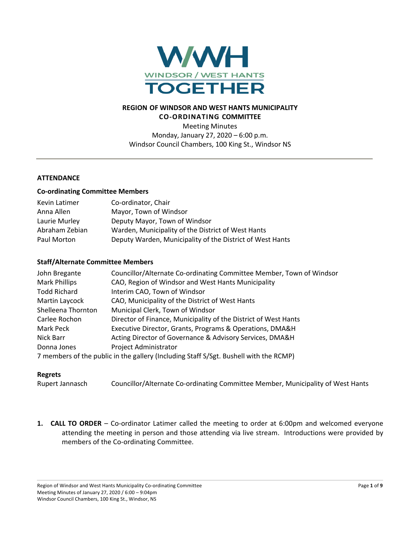

# **REGION OF WINDSOR AND WEST HANTS MUNICIPALITY CO-ORDINATING COMMITTEE**

Meeting Minutes Monday, January 27, 2020 – 6:00 p.m. Windsor Council Chambers, 100 King St., Windsor NS

## **ATTENDANCE**

### **Co-ordinating Committee Members**

| Kevin Latimer  | Co-ordinator, Chair                                       |
|----------------|-----------------------------------------------------------|
| Anna Allen     | Mayor, Town of Windsor                                    |
| Laurie Murley  | Deputy Mayor, Town of Windsor                             |
| Abraham Zebian | Warden, Municipality of the District of West Hants        |
| Paul Morton    | Deputy Warden, Municipality of the District of West Hants |

### **Staff/Alternate Committee Members**

| John Bregante                                                                         | Councillor/Alternate Co-ordinating Committee Member, Town of Windsor |
|---------------------------------------------------------------------------------------|----------------------------------------------------------------------|
| <b>Mark Phillips</b>                                                                  | CAO, Region of Windsor and West Hants Municipality                   |
| <b>Todd Richard</b>                                                                   | Interim CAO, Town of Windsor                                         |
| Martin Laycock                                                                        | CAO, Municipality of the District of West Hants                      |
| Shelleena Thornton                                                                    | Municipal Clerk, Town of Windsor                                     |
| Carlee Rochon                                                                         | Director of Finance, Municipality of the District of West Hants      |
| Mark Peck                                                                             | Executive Director, Grants, Programs & Operations, DMA&H             |
| Nick Barr                                                                             | Acting Director of Governance & Advisory Services, DMA&H             |
| Donna Jones                                                                           | Project Administrator                                                |
| 7 members of the public in the gallery (Including Staff S/Sgt. Bushell with the RCMP) |                                                                      |

#### **Regrets**

Rupert Jannasch Councillor/Alternate Co-ordinating Committee Member, Municipality of West Hants

**1. CALL TO ORDER** – Co-ordinator Latimer called the meeting to order at 6:00pm and welcomed everyone attending the meeting in person and those attending via live stream. Introductions were provided by members of the Co-ordinating Committee.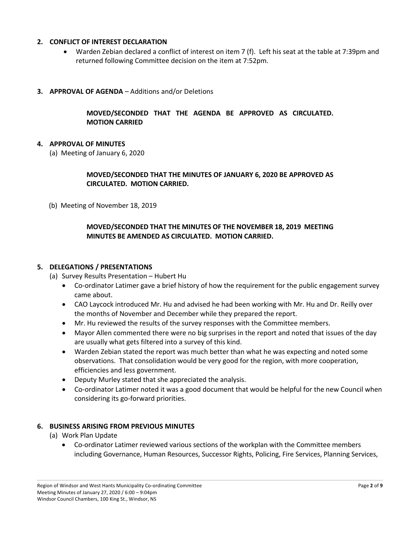## **2. CONFLICT OF INTEREST DECLARATION**

- Warden Zebian declared a conflict of interest on item 7 (f). Left his seat at the table at 7:39pm and returned following Committee decision on the item at 7:52pm.
- **3. APPROVAL OF AGENDA** Additions and/or Deletions

## **MOVED/SECONDED THAT THE AGENDA BE APPROVED AS CIRCULATED. MOTION CARRIED**

### **4. APPROVAL OF MINUTES**

(a) Meeting of January 6, 2020

## **MOVED/SECONDED THAT THE MINUTES OF JANUARY 6, 2020 BE APPROVED AS CIRCULATED. MOTION CARRIED.**

(b) Meeting of November 18, 2019

## **MOVED/SECONDED THAT THE MINUTES OF THE NOVEMBER 18, 2019 MEETING MINUTES BE AMENDED AS CIRCULATED. MOTION CARRIED.**

#### **5. DELEGATIONS / PRESENTATIONS**

- (a) Survey Results Presentation Hubert Hu
	- Co-ordinator Latimer gave a brief history of how the requirement for the public engagement survey came about.
	- CAO Laycock introduced Mr. Hu and advised he had been working with Mr. Hu and Dr. Reilly over the months of November and December while they prepared the report.
	- Mr. Hu reviewed the results of the survey responses with the Committee members.
	- Mayor Allen commented there were no big surprises in the report and noted that issues of the day are usually what gets filtered into a survey of this kind.
	- Warden Zebian stated the report was much better than what he was expecting and noted some observations. That consolidation would be very good for the region, with more cooperation, efficiencies and less government.
	- Deputy Murley stated that she appreciated the analysis.
	- Co-ordinator Latimer noted it was a good document that would be helpful for the new Council when considering its go-forward priorities.

#### **6. BUSINESS ARISING FROM PREVIOUS MINUTES**

- (a) Work Plan Update
	- Co-ordinator Latimer reviewed various sections of the workplan with the Committee members including Governance, Human Resources, Successor Rights, Policing, Fire Services, Planning Services,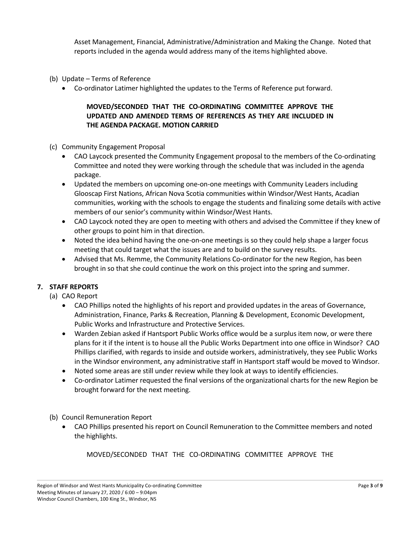Asset Management, Financial, Administrative/Administration and Making the Change. Noted that reports included in the agenda would address many of the items highlighted above.

- (b) Update Terms of Reference
	- Co-ordinator Latimer highlighted the updates to the Terms of Reference put forward.

# **MOVED/SECONDED THAT THE CO-ORDINATING COMMITTEE APPROVE THE UPDATED AND AMENDED TERMS OF REFERENCES AS THEY ARE INCLUDED IN THE AGENDA PACKAGE. MOTION CARRIED**

- (c) Community Engagement Proposal
	- CAO Laycock presented the Community Engagement proposal to the members of the Co-ordinating Committee and noted they were working through the schedule that was included in the agenda package.
	- Updated the members on upcoming one-on-one meetings with Community Leaders including Glooscap First Nations, African Nova Scotia communities within Windsor/West Hants, Acadian communities, working with the schools to engage the students and finalizing some details with active members of our senior's community within Windsor/West Hants.
	- CAO Laycock noted they are open to meeting with others and advised the Committee if they knew of other groups to point him in that direction.
	- Noted the idea behind having the one-on-one meetings is so they could help shape a larger focus meeting that could target what the issues are and to build on the survey results.
	- Advised that Ms. Remme, the Community Relations Co-ordinator for the new Region, has been brought in so that she could continue the work on this project into the spring and summer.

# **7. STAFF REPORTS**

- (a) CAO Report
	- CAO Phillips noted the highlights of his report and provided updates in the areas of Governance, Administration, Finance, Parks & Recreation, Planning & Development, Economic Development, Public Works and Infrastructure and Protective Services.
	- Warden Zebian asked if Hantsport Public Works office would be a surplus item now, or were there plans for it if the intent is to house all the Public Works Department into one office in Windsor? CAO Phillips clarified, with regards to inside and outside workers, administratively, they see Public Works in the Windsor environment, any administrative staff in Hantsport staff would be moved to Windsor.
	- Noted some areas are still under review while they look at ways to identify efficiencies.
	- Co-ordinator Latimer requested the final versions of the organizational charts for the new Region be brought forward for the next meeting.

(b) Council Remuneration Report

• CAO Phillips presented his report on Council Remuneration to the Committee members and noted the highlights.

MOVED/SECONDED THAT THE CO-ORDINATING COMMITTEE APPROVE THE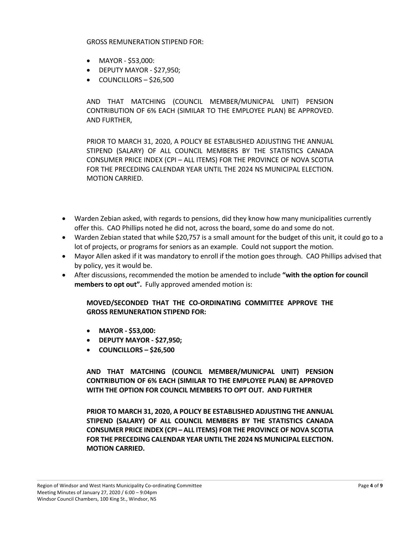GROSS REMUNERATION STIPEND FOR:

- MAYOR \$53,000:
- DEPUTY MAYOR \$27,950;
- COUNCILLORS \$26,500

AND THAT MATCHING (COUNCIL MEMBER/MUNICPAL UNIT) PENSION CONTRIBUTION OF 6% EACH (SIMILAR TO THE EMPLOYEE PLAN) BE APPROVED. AND FURTHER,

PRIOR TO MARCH 31, 2020, A POLICY BE ESTABLISHED ADJUSTING THE ANNUAL STIPEND (SALARY) OF ALL COUNCIL MEMBERS BY THE STATISTICS CANADA CONSUMER PRICE INDEX (CPI – ALL ITEMS) FOR THE PROVINCE OF NOVA SCOTIA FOR THE PRECEDING CALENDAR YEAR UNTIL THE 2024 NS MUNICIPAL ELECTION. MOTION CARRIED.

- Warden Zebian asked, with regards to pensions, did they know how many municipalities currently offer this. CAO Phillips noted he did not, across the board, some do and some do not.
- Warden Zebian stated that while \$20,757 is a small amount for the budget of this unit, it could go to a lot of projects, or programs for seniors as an example. Could not support the motion.
- Mayor Allen asked if it was mandatory to enroll if the motion goes through. CAO Phillips advised that by policy, yes it would be.
- After discussions, recommended the motion be amended to include **"with the option for council members to opt out".** Fully approved amended motion is:

**MOVED/SECONDED THAT THE CO-ORDINATING COMMITTEE APPROVE THE GROSS REMUNERATION STIPEND FOR:**

- **MAYOR - \$53,000:**
- **DEPUTY MAYOR - \$27,950;**
- **COUNCILLORS – \$26,500**

**AND THAT MATCHING (COUNCIL MEMBER/MUNICPAL UNIT) PENSION CONTRIBUTION OF 6% EACH (SIMILAR TO THE EMPLOYEE PLAN) BE APPROVED WITH THE OPTION FOR COUNCIL MEMBERS TO OPT OUT. AND FURTHER**

**PRIOR TO MARCH 31, 2020, A POLICY BE ESTABLISHED ADJUSTING THE ANNUAL STIPEND (SALARY) OF ALL COUNCIL MEMBERS BY THE STATISTICS CANADA CONSUMER PRICE INDEX (CPI – ALL ITEMS) FOR THE PROVINCE OF NOVA SCOTIA FOR THE PRECEDING CALENDAR YEAR UNTIL THE 2024 NS MUNICIPAL ELECTION. MOTION CARRIED.**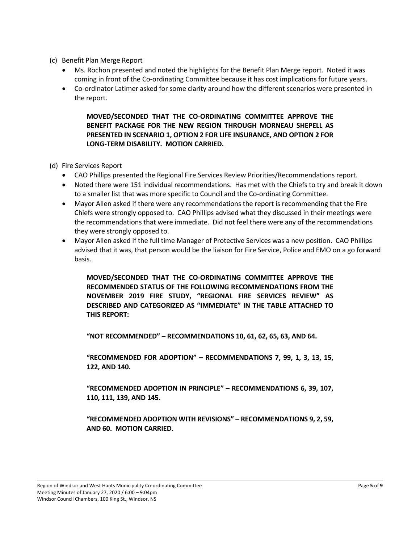- (c) Benefit Plan Merge Report
	- Ms. Rochon presented and noted the highlights for the Benefit Plan Merge report. Noted it was coming in front of the Co-ordinating Committee because it has cost implications for future years.
	- Co-ordinator Latimer asked for some clarity around how the different scenarios were presented in the report.

**MOVED/SECONDED THAT THE CO-ORDINATING COMMITTEE APPROVE THE BENEFIT PACKAGE FOR THE NEW REGION THROUGH MORNEAU SHEPELL AS PRESENTED IN SCENARIO 1, OPTION 2 FOR LIFE INSURANCE, AND OPTION 2 FOR LONG-TERM DISABILITY. MOTION CARRIED.**

- (d) Fire Services Report
	- CAO Phillips presented the Regional Fire Services Review Priorities/Recommendations report.
	- Noted there were 151 individual recommendations. Has met with the Chiefs to try and break it down to a smaller list that was more specific to Council and the Co-ordinating Committee.
	- Mayor Allen asked if there were any recommendations the report is recommending that the Fire Chiefs were strongly opposed to. CAO Phillips advised what they discussed in their meetings were the recommendations that were immediate. Did not feel there were any of the recommendations they were strongly opposed to.
	- Mayor Allen asked if the full time Manager of Protective Services was a new position. CAO Phillips advised that it was, that person would be the liaison for Fire Service, Police and EMO on a go forward basis.

**MOVED/SECONDED THAT THE CO-ORDINATING COMMITTEE APPROVE THE RECOMMENDED STATUS OF THE FOLLOWING RECOMMENDATIONS FROM THE NOVEMBER 2019 FIRE STUDY, "REGIONAL FIRE SERVICES REVIEW" AS DESCRIBED AND CATEGORIZED AS "IMMEDIATE" IN THE TABLE ATTACHED TO THIS REPORT:** 

**"NOT RECOMMENDED" – RECOMMENDATIONS 10, 61, 62, 65, 63, AND 64.** 

**"RECOMMENDED FOR ADOPTION" – RECOMMENDATIONS 7, 99, 1, 3, 13, 15, 122, AND 140.** 

**"RECOMMENDED ADOPTION IN PRINCIPLE" – RECOMMENDATIONS 6, 39, 107, 110, 111, 139, AND 145.** 

**"RECOMMENDED ADOPTION WITH REVISIONS" – RECOMMENDATIONS 9, 2, 59, AND 60. MOTION CARRIED.**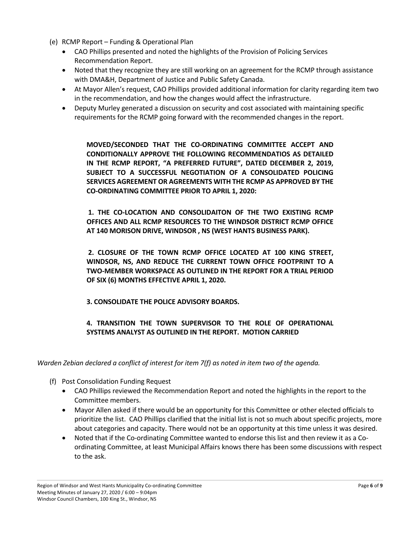- (e) RCMP Report Funding & Operational Plan
	- CAO Phillips presented and noted the highlights of the Provision of Policing Services Recommendation Report.
	- Noted that they recognize they are still working on an agreement for the RCMP through assistance with DMA&H, Department of Justice and Public Safety Canada.
	- At Mayor Allen's request, CAO Phillips provided additional information for clarity regarding item two in the recommendation, and how the changes would affect the infrastructure.
	- Deputy Murley generated a discussion on security and cost associated with maintaining specific requirements for the RCMP going forward with the recommended changes in the report.

**MOVED/SECONDED THAT THE CO-ORDINATING COMMITTEE ACCEPT AND CONDITIONALLY APPROVE THE FOLLOWING RECOMMENDATIOS AS DETAILED IN THE RCMP REPORT, "A PREFERRED FUTURE", DATED DECEMBER 2, 2019, SUBJECT TO A SUCCESSFUL NEGOTIATION OF A CONSOLIDATED POLICING SERVICES AGREEMENT OR AGREEMENTS WITH THE RCMP AS APPROVED BY THE CO-ORDINATING COMMITTEE PRIOR TO APRIL 1, 2020:**

**1. THE CO-LOCATION AND CONSOLIDAITON OF THE TWO EXISTING RCMP OFFICES AND ALL RCMP RESOURCES TO THE WINDSOR DISTRICT RCMP OFFICE AT 140 MORISON DRIVE, WINDSOR , NS (WEST HANTS BUSINESS PARK).** 

**2. CLOSURE OF THE TOWN RCMP OFFICE LOCATED AT 100 KING STREET, WINDSOR, NS, AND REDUCE THE CURRENT TOWN OFFICE FOOTPRINT TO A TWO-MEMBER WORKSPACE AS OUTLINED IN THE REPORT FOR A TRIAL PERIOD OF SIX (6) MONTHS EFFECTIVE APRIL 1, 2020.** 

**3. CONSOLIDATE THE POLICE ADVISORY BOARDS.** 

# **4. TRANSITION THE TOWN SUPERVISOR TO THE ROLE OF OPERATIONAL SYSTEMS ANALYST AS OUTLINED IN THE REPORT. MOTION CARRIED**

*Warden Zebian declared a conflict of interest for item 7(f) as noted in item two of the agenda.*

- (f) Post Consolidation Funding Request
	- CAO Phillips reviewed the Recommendation Report and noted the highlights in the report to the Committee members.
	- Mayor Allen asked if there would be an opportunity for this Committee or other elected officials to prioritize the list. CAO Phillips clarified that the initial list is not so much about specific projects, more about categories and capacity. There would not be an opportunity at this time unless it was desired.
	- Noted that if the Co-ordinating Committee wanted to endorse this list and then review it as a Coordinating Committee, at least Municipal Affairs knows there has been some discussions with respect to the ask.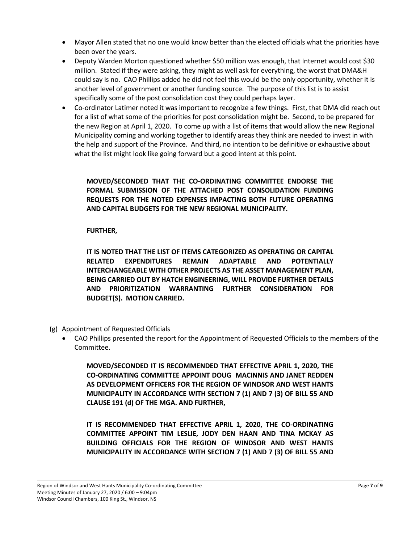- Mayor Allen stated that no one would know better than the elected officials what the priorities have been over the years.
- Deputy Warden Morton questioned whether \$50 million was enough, that Internet would cost \$30 million. Stated if they were asking, they might as well ask for everything, the worst that DMA&H could say is no. CAO Phillips added he did not feel this would be the only opportunity, whether it is another level of government or another funding source. The purpose of this list is to assist specifically some of the post consolidation cost they could perhaps layer.
- Co-ordinator Latimer noted it was important to recognize a few things. First, that DMA did reach out for a list of what some of the priorities for post consolidation might be. Second, to be prepared for the new Region at April 1, 2020. To come up with a list of items that would allow the new Regional Municipality coming and working together to identify areas they think are needed to invest in with the help and support of the Province. And third, no intention to be definitive or exhaustive about what the list might look like going forward but a good intent at this point.

**MOVED/SECONDED THAT THE CO-ORDINATING COMMITTEE ENDORSE THE FORMAL SUBMISSION OF THE ATTACHED POST CONSOLIDATION FUNDING REQUESTS FOR THE NOTED EXPENSES IMPACTING BOTH FUTURE OPERATING AND CAPITAL BUDGETS FOR THE NEW REGIONAL MUNICIPALITY.**

## **FURTHER,**

**IT IS NOTED THAT THE LIST OF ITEMS CATEGORIZED AS OPERATING OR CAPITAL RELATED EXPENDITURES REMAIN ADAPTABLE AND POTENTIALLY INTERCHANGEABLE WITH OTHER PROJECTS AS THE ASSET MANAGEMENT PLAN, BEING CARRIED OUT BY HATCH ENGINEERING, WILL PROVIDE FURTHER DETAILS AND PRIORITIZATION WARRANTING FURTHER CONSIDERATION FOR BUDGET(S). MOTION CARRIED.**

- (g) Appointment of Requested Officials
	- CAO Phillips presented the report for the Appointment of Requested Officials to the members of the Committee.

**MOVED/SECONDED IT IS RECOMMENDED THAT EFFECTIVE APRIL 1, 2020, THE CO-ORDINATING COMMITTEE APPOINT DOUG MACINNIS AND JANET REDDEN AS DEVELOPMENT OFFICERS FOR THE REGION OF WINDSOR AND WEST HANTS MUNICIPALITY IN ACCORDANCE WITH SECTION 7 (1) AND 7 (3) OF BILL 55 AND CLAUSE 191 (d) OF THE MGA. AND FURTHER,**

**IT IS RECOMMENDED THAT EFFECTIVE APRIL 1, 2020, THE CO-ORDINATING COMMITTEE APPOINT TIM LESLIE, JODY DEN HAAN AND TINA MCKAY AS BUILDING OFFICIALS FOR THE REGION OF WINDSOR AND WEST HANTS MUNICIPALITY IN ACCORDANCE WITH SECTION 7 (1) AND 7 (3) OF BILL 55 AND**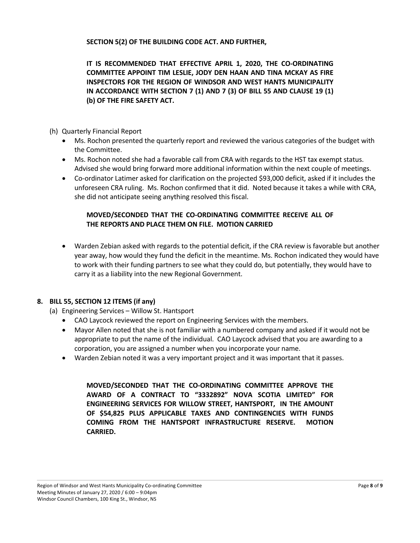**SECTION 5(2) OF THE BUILDING CODE ACT. AND FURTHER,**

**IT IS RECOMMENDED THAT EFFECTIVE APRIL 1, 2020, THE CO-ORDINATING COMMITTEE APPOINT TIM LESLIE, JODY DEN HAAN AND TINA MCKAY AS FIRE INSPECTORS FOR THE REGION OF WINDSOR AND WEST HANTS MUNICIPALITY IN ACCORDANCE WITH SECTION 7 (1) AND 7 (3) OF BILL 55 AND CLAUSE 19 (1) (b) OF THE FIRE SAFETY ACT.**

## (h) Quarterly Financial Report

- Ms. Rochon presented the quarterly report and reviewed the various categories of the budget with the Committee.
- Ms. Rochon noted she had a favorable call from CRA with regards to the HST tax exempt status. Advised she would bring forward more additional information within the next couple of meetings.
- Co-ordinator Latimer asked for clarification on the projected \$93,000 deficit, asked if it includes the unforeseen CRA ruling. Ms. Rochon confirmed that it did. Noted because it takes a while with CRA, she did not anticipate seeing anything resolved this fiscal.

# **MOVED/SECONDED THAT THE CO-ORDINATING COMMITTEE RECEIVE ALL OF THE REPORTS AND PLACE THEM ON FILE. MOTION CARRIED**

• Warden Zebian asked with regards to the potential deficit, if the CRA review is favorable but another year away, how would they fund the deficit in the meantime. Ms. Rochon indicated they would have to work with their funding partners to see what they could do, but potentially, they would have to carry it as a liability into the new Regional Government.

# **8. BILL 55, SECTION 12 ITEMS (if any)**

- (a) Engineering Services Willow St. Hantsport
	- CAO Laycock reviewed the report on Engineering Services with the members.
	- Mayor Allen noted that she is not familiar with a numbered company and asked if it would not be appropriate to put the name of the individual. CAO Laycock advised that you are awarding to a corporation, you are assigned a number when you incorporate your name.
	- Warden Zebian noted it was a very important project and it was important that it passes.

**MOVED/SECONDED THAT THE CO-ORDINATING COMMITTEE APPROVE THE AWARD OF A CONTRACT TO "3332892" NOVA SCOTIA LIMITED" FOR ENGINEERING SERVICES FOR WILLOW STREET, HANTSPORT, IN THE AMOUNT OF \$54,825 PLUS APPLICABLE TAXES AND CONTINGENCIES WITH FUNDS COMING FROM THE HANTSPORT INFRASTRUCTURE RESERVE. MOTION CARRIED.**